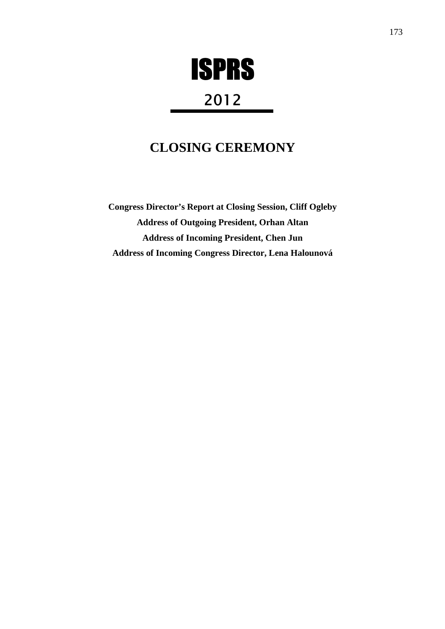# ISPRS

## 2012

### **CLOSING CEREMONY**

**Congress Director's Report at Closing Session, Cliff Ogleby Address of Outgoing President, Orhan Altan Address of Incoming President, Chen Jun Address of Incoming Congress Director, Lena Halounová**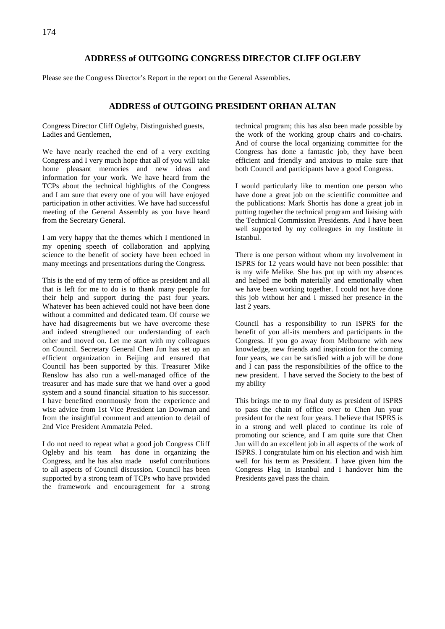#### **ADDRESS of OUTGOING CONGRESS DIRECTOR CLIFF OGLEBY**

Please see the Congress Director's Report in the report on the General Assemblies.

#### **ADDRESS of OUTGOING PRESIDENT ORHAN ALTAN**

Congress Director Cliff Ogleby, Distinguished guests, Ladies and Gentlemen,

We have nearly reached the end of a very exciting Congress and I very much hope that all of you will take home pleasant memories and new ideas and information for your work. We have heard from the TCPs about the technical highlights of the Congress and I am sure that every one of you will have enjoyed participation in other activities. We have had successful meeting of the General Assembly as you have heard from the Secretary General.

I am very happy that the themes which I mentioned in my opening speech of collaboration and applying science to the benefit of society have been echoed in many meetings and presentations during the Congress.

This is the end of my term of office as president and all that is left for me to do is to thank many people for their help and support during the past four years. Whatever has been achieved could not have been done without a committed and dedicated team. Of course we have had disagreements but we have overcome these and indeed strengthened our understanding of each other and moved on. Let me start with my colleagues on Council. Secretary General Chen Jun has set up an efficient organization in Beijing and ensured that Council has been supported by this. Treasurer Mike Renslow has also run a well-managed office of the treasurer and has made sure that we hand over a good system and a sound financial situation to his successor. I have benefited enormously from the experience and wise advice from 1st Vice President Ian Dowman and from the insightful comment and attention to detail of 2nd Vice President Ammatzia Peled.

I do not need to repeat what a good job Congress Cliff Ogleby and his team has done in organizing the Congress, and he has also made useful contributions to all aspects of Council discussion. Council has been supported by a strong team of TCPs who have provided the framework and encouragement for a strong

technical program; this has also been made possible by the work of the working group chairs and co-chairs. And of course the local organizing committee for the Congress has done a fantastic job, they have been efficient and friendly and anxious to make sure that both Council and participants have a good Congress.

I would particularly like to mention one person who have done a great job on the scientific committee and the publications: Mark Shortis has done a great job in putting together the technical program and liaising with the Technical Commission Presidents. And I have been well supported by my colleagues in my Institute in Istanbul.

There is one person without whom my involvement in ISPRS for 12 years would have not been possible: that is my wife Melike. She has put up with my absences and helped me both materially and emotionally when we have been working together. I could not have done this job without her and I missed her presence in the last 2 years.

Council has a responsibility to run ISPRS for the benefit of you all-its members and participants in the Congress. If you go away from Melbourne with new knowledge, new friends and inspiration for the coming four years, we can be satisfied with a job will be done and I can pass the responsibilities of the office to the new president. I have served the Society to the best of my ability

This brings me to my final duty as president of ISPRS to pass the chain of office over to Chen Jun your president for the next four years. I believe that ISPRS is in a strong and well placed to continue its role of promoting our science, and I am quite sure that Chen Jun will do an excellent job in all aspects of the work of ISPRS. I congratulate him on his election and wish him well for his term as President. I have given him the Congress Flag in Istanbul and I handover him the Presidents gavel pass the chain.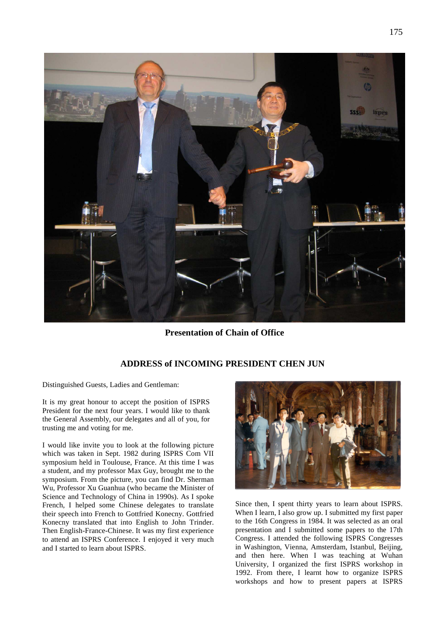

**Presentation of Chain of Office** 

#### **ADDRESS of INCOMING PRESIDENT CHEN JUN**

Distinguished Guests, Ladies and Gentleman:

It is my great honour to accept the position of ISPRS President for the next four years. I would like to thank the General Assembly, our delegates and all of you, for trusting me and voting for me.

I would like invite you to look at the following picture which was taken in Sept. 1982 during ISPRS Com VII symposium held in Toulouse, France. At this time I was a student, and my professor Max Guy, brought me to the symposium. From the picture, you can find Dr. Sherman Wu, Professor Xu Guanhua (who became the Minister of Science and Technology of China in 1990s). As I spoke French, I helped some Chinese delegates to translate their speech into French to Gottfried Konecny. Gottfried Konecny translated that into English to John Trinder. Then English-France-Chinese. It was my first experience to attend an ISPRS Conference. I enjoyed it very much and I started to learn about ISPRS.



Since then, I spent thirty years to learn about ISPRS. When I learn, I also grow up. I submitted my first paper to the 16th Congress in 1984. It was selected as an oral presentation and I submitted some papers to the 17th Congress. I attended the following ISPRS Congresses in Washington, Vienna, Amsterdam, Istanbul, Beijing, and then here. When I was teaching at Wuhan University, I organized the first ISPRS workshop in 1992. From there, I learnt how to organize ISPRS workshops and how to present papers at ISPRS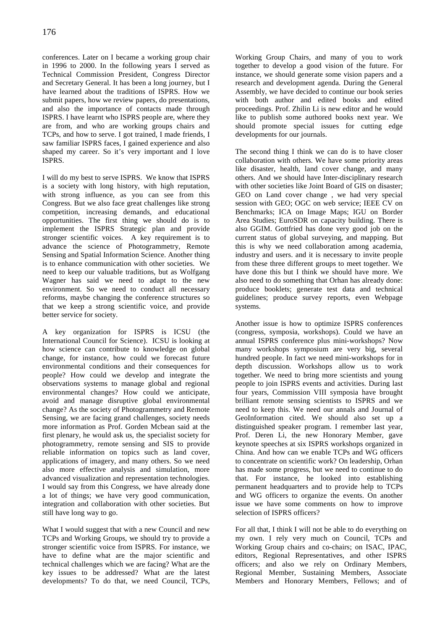conferences. Later on I became a working group chair in 1996 to 2000. In the following years I served as Technical Commission President, Congress Director and Secretary General. It has been a long journey, but I have learned about the traditions of ISPRS. How we submit papers, how we review papers, do presentations, and also the importance of contacts made through ISPRS. I have learnt who ISPRS people are, where they are from, and who are working groups chairs and TCPs, and how to serve. I got trained, I made friends, I saw familiar ISPRS faces, I gained experience and also shaped my career. So it's very important and I love ISPRS.

I will do my best to serve ISPRS. We know that ISPRS is a society with long history, with high reputation, with strong influence, as you can see from this Congress. But we also face great challenges like strong competition, increasing demands, and educational opportunities. The first thing we should do is to implement the ISPRS Strategic plan and provide stronger scientific voices. A key requirement is to advance the science of Photogrammetry, Remote Sensing and Spatial Information Science. Another thing is to enhance communication with other societies. We need to keep our valuable traditions, but as Wolfgang Wagner has said we need to adapt to the new environment. So we need to conduct all necessary reforms, maybe changing the conference structures so that we keep a strong scientific voice, and provide better service for society.

A key organization for ISPRS is ICSU (the International Council for Science). ICSU is looking at how science can contribute to knowledge on global change, for instance, how could we forecast future environmental conditions and their consequences for people? How could we develop and integrate the observations systems to manage global and regional environmental changes? How could we anticipate, avoid and manage disruptive global environmental change? As the society of Photogrammetry and Remote Sensing, we are facing grand challenges, society needs more information as Prof. Gorden Mcbean said at the first plenary, he would ask us, the specialist society for photogrammetry, remote sensing and SIS to provide reliable information on topics such as land cover, applications of imagery, and many others. So we need also more effective analysis and simulation, more advanced visualization and representation technologies. I would say from this Congress, we have already done a lot of things; we have very good communication, integration and collaboration with other societies. But still have long way to go.

What I would suggest that with a new Council and new TCPs and Working Groups, we should try to provide a stronger scientific voice from ISPRS. For instance, we have to define what are the major scientific and technical challenges which we are facing? What are the key issues to be addressed? What are the latest developments? To do that, we need Council, TCPs,

Working Group Chairs, and many of you to work together to develop a good vision of the future. For instance, we should generate some vision papers and a research and development agenda. During the General Assembly, we have decided to continue our book series with both author and edited books and edited proceedings. Prof. Zhilin Li is new editor and he would like to publish some authored books next year. We should promote special issues for cutting edge developments for our journals.

The second thing I think we can do is to have closer collaboration with others. We have some priority areas like disaster, health, land cover change, and many others. And we should have Inter-disciplinary research with other societies like Joint Board of GIS on disaster; GEO on Land cover change , we had very special session with GEO; OGC on web service; IEEE CV on Benchmarks; ICA on Image Maps; IGU on Border Area Studies; EuroSDR on capacity building. There is also GGIM. Gottfried has done very good job on the current status of global surveying, and mapping. But this is why we need collaboration among academia, industry and users. and it is necessary to invite people from these three different groups to meet together. We have done this but I think we should have more. We also need to do something that Orhan has already done: produce booklets; generate test data and technical guidelines; produce survey reports, even Webpage systems.

Another issue is how to optimize ISPRS conferences (congress, symposia, workshops). Could we have an annual ISPRS conference plus mini-workshops? Now many workshops symposium are very big, several hundred people. In fact we need mini-workshops for in depth discussion. Workshops allow us to work together. We need to bring more scientists and young people to join ISPRS events and activities. During last four years, Commission VIII symposia have brought brilliant remote sensing scientists to ISPRS and we need to keep this. We need our annals and Journal of GeoInformation cited. We should also set up a distinguished speaker program. I remember last year, Prof. Deren Li, the new Honorary Member, gave keynote speeches at six ISPRS workshops organized in China. And how can we enable TCPs and WG officers to concentrate on scientific work? On leadership, Orhan has made some progress, but we need to continue to do that. For instance, he looked into establishing permanent headquarters and to provide help to TCPs and WG officers to organize the events. On another issue we have some comments on how to improve selection of ISPRS officers?

For all that, I think I will not be able to do everything on my own. I rely very much on Council, TCPs and Working Group chairs and co-chairs; on ISAC, IPAC, editors, Regional Representatives, and other ISPRS officers; and also we rely on Ordinary Members, Regional Member, Sustaining Members, Associate Members and Honorary Members, Fellows; and of